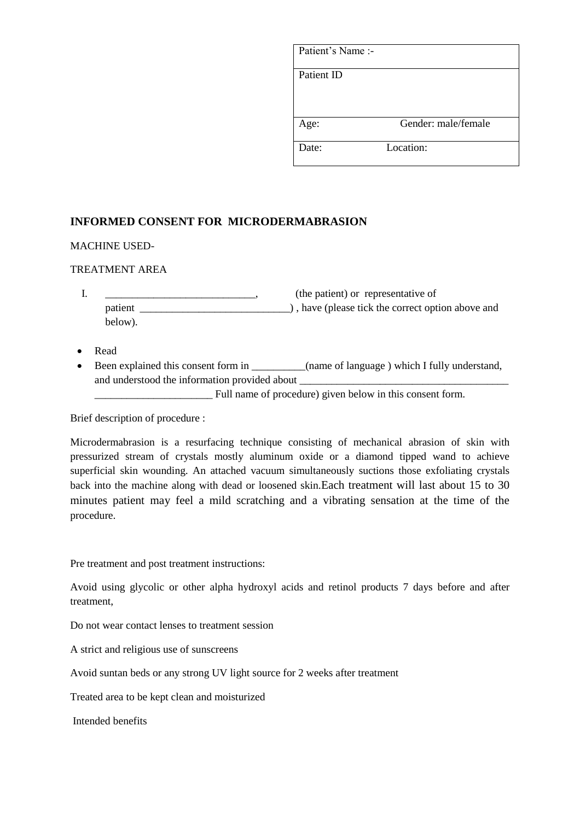| Patient's Name :- |                     |
|-------------------|---------------------|
| Patient ID        |                     |
| Age:              | Gender: male/female |
| Date:             | Location:           |

# **INFORMED CONSENT FOR MICRODERMABRASION**

## MACHINE USED-

## TREATMENT AREA

| ı. |         | (the patient) or representative of                |
|----|---------|---------------------------------------------------|
|    | patient | ), have (please tick the correct option above and |
|    | below). |                                                   |

- Read
- Been explained this consent form in \_\_\_\_\_\_\_\_\_(name of language) which I fully understand, and understood the information provided about

\_\_\_\_\_\_\_\_\_\_\_\_\_\_\_\_\_\_\_\_\_\_ Full name of procedure) given below in this consent form.

Brief description of procedure :

Microdermabrasion is a resurfacing technique consisting of mechanical abrasion of skin with pressurized stream of crystals mostly aluminum oxide or a diamond tipped wand to achieve superficial skin wounding. An attached vacuum simultaneously suctions those exfoliating crystals back into the machine along with dead or loosened skin.Each treatment will last about 15 to 30 minutes patient may feel a mild scratching and a vibrating sensation at the time of the procedure.

Pre treatment and post treatment instructions:

Avoid using glycolic or other alpha hydroxyl acids and retinol products 7 days before and after treatment,

Do not wear contact lenses to treatment session

A strict and religious use of sunscreens

Avoid suntan beds or any strong UV light source for 2 weeks after treatment

Treated area to be kept clean and moisturized

Intended benefits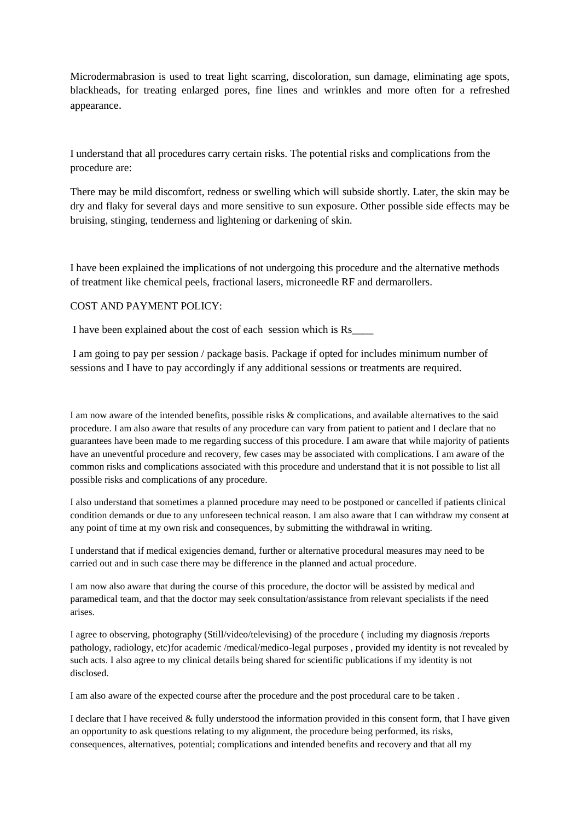Microdermabrasion is used to treat light scarring, discoloration, sun damage, eliminating age spots, blackheads, for treating enlarged pores, fine lines and wrinkles and more often for a refreshed appearance.

I understand that all procedures carry certain risks. The potential risks and complications from the procedure are:

There may be mild discomfort, redness or swelling which will subside shortly. Later, the skin may be dry and flaky for several days and more sensitive to sun exposure. Other possible side effects may be bruising, stinging, tenderness and lightening or darkening of skin.

I have been explained the implications of not undergoing this procedure and the alternative methods of treatment like chemical peels, fractional lasers, microneedle RF and dermarollers.

#### COST AND PAYMENT POLICY:

I have been explained about the cost of each session which is Rs\_\_\_\_

I am going to pay per session / package basis. Package if opted for includes minimum number of sessions and I have to pay accordingly if any additional sessions or treatments are required.

I am now aware of the intended benefits, possible risks & complications, and available alternatives to the said procedure. I am also aware that results of any procedure can vary from patient to patient and I declare that no guarantees have been made to me regarding success of this procedure. I am aware that while majority of patients have an uneventful procedure and recovery, few cases may be associated with complications. I am aware of the common risks and complications associated with this procedure and understand that it is not possible to list all possible risks and complications of any procedure.

I also understand that sometimes a planned procedure may need to be postponed or cancelled if patients clinical condition demands or due to any unforeseen technical reason. I am also aware that I can withdraw my consent at any point of time at my own risk and consequences, by submitting the withdrawal in writing.

I understand that if medical exigencies demand, further or alternative procedural measures may need to be carried out and in such case there may be difference in the planned and actual procedure.

I am now also aware that during the course of this procedure, the doctor will be assisted by medical and paramedical team, and that the doctor may seek consultation/assistance from relevant specialists if the need arises.

I agree to observing, photography (Still/video/televising) of the procedure ( including my diagnosis /reports pathology, radiology, etc)for academic /medical/medico-legal purposes , provided my identity is not revealed by such acts. I also agree to my clinical details being shared for scientific publications if my identity is not disclosed.

I am also aware of the expected course after the procedure and the post procedural care to be taken .

I declare that I have received  $&$  fully understood the information provided in this consent form, that I have given an opportunity to ask questions relating to my alignment, the procedure being performed, its risks, consequences, alternatives, potential; complications and intended benefits and recovery and that all my